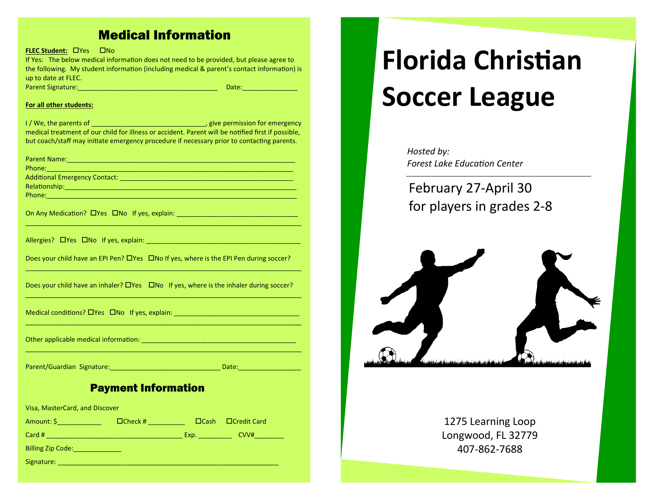# Medical Information

**FLEC Student: CPYES CONDITION** 

If Yes: The below medical information does not need to be provided, but please agree to the following. My student information (including medical & parent's contact information) is up to date at FLEC. Parent Signature:\_\_\_\_\_\_\_\_\_\_\_\_\_\_\_\_\_\_\_\_\_\_\_\_\_\_\_\_\_\_\_\_\_\_\_\_\_\_ Date:\_\_\_\_\_\_\_\_\_\_\_\_\_\_\_

#### **For all other students:**

I / We, the parents of \_\_\_\_\_\_\_\_\_\_\_\_\_\_\_\_\_\_\_\_\_\_\_\_\_\_\_\_\_\_\_, give permission for emergency medical treatment of our child for illness or accident. Parent will be notified first if possible, but coach/staff may initiate emergency procedure if necessary prior to contacting parents.

| On Any Medication? LIYes LINo If yes, explain: _________________________________                  |
|---------------------------------------------------------------------------------------------------|
|                                                                                                   |
| Does your child have an EPI Pen? $\Box$ Yes $\Box$ No If yes, where is the EPI Pen during soccer? |
| Does your child have an inhaler? $\Box$ Yes $\Box$ No If yes, where is the inhaler during soccer? |
| Medical conditions? DYes DNo If yes, explain: __________________________________                  |
|                                                                                                   |
|                                                                                                   |

## Parent/Guardian Signature:\_\_\_\_\_\_\_\_\_\_\_\_\_\_\_\_\_\_\_\_\_\_\_\_\_\_\_\_\_\_ Date:\_\_\_\_\_\_\_\_\_\_\_\_\_\_\_\_\_

# Payment Information

Visa, MasterCard, and Discover

Amount: \$\_\_\_\_\_\_\_\_\_\_\_\_\_\_\_\_\_\_\_ Check # \_\_\_\_\_\_\_\_\_\_\_\_ Cash Credit Card Card # \_\_\_\_\_\_\_\_\_\_\_\_\_\_\_\_\_\_\_\_\_\_\_\_\_\_\_\_\_\_\_\_\_\_\_\_\_ Exp. \_\_\_\_\_\_\_\_\_ CVV#\_\_\_\_\_\_\_\_ Billing Zip Code: \_\_\_\_\_\_\_\_\_\_\_\_\_\_\_\_\_\_\_\_\_\_\_\_ Signature: \_\_\_\_\_\_\_\_\_\_\_\_\_\_\_\_\_\_\_\_\_\_\_\_\_\_\_\_\_\_\_\_\_\_\_\_\_\_\_\_\_\_\_\_\_\_\_\_\_\_\_\_\_\_\_\_\_\_\_\_

# **Florida Christian Soccer League**

*Hosted by: Forest Lake Education Center*

February 27-April 30 for players in grades 2-8



1275 Learning Loop Longwood, FL 32779 407-862-7688